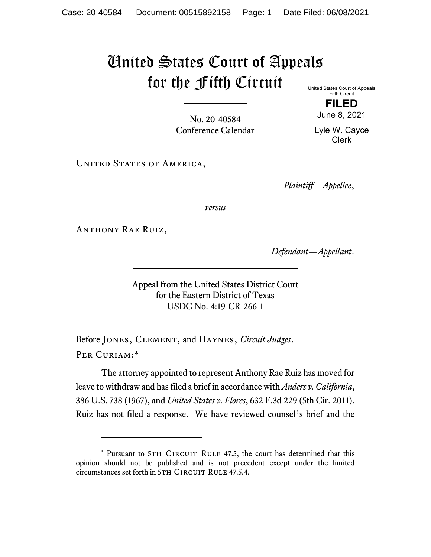## United States Court of Appeals for the Fifth Circuit

United States Court of Appeals Fifth Circuit **FILED**

No. 20-40584 Conference Calendar

June 8, 2021 Lyle W. Cayce

Clerk

UNITED STATES OF AMERICA,

*Plaintiff—Appellee*,

*versus*

Anthony Rae Ruiz,

*Defendant—Appellant*.

Appeal from the United States District Court for the Eastern District of Texas USDC No. 4:19-CR-266-1

Before Jones, Clement, and Haynes, *Circuit Judges*. Per Curiam:[\\*](#page-0-0)

The attorney appointed to represent Anthony Rae Ruiz has moved for leave to withdraw and has filed a brief in accordance with *Anders v. California*, 386 U.S. 738 (1967), and *United States v. Flores*, 632 F.3d 229 (5th Cir. 2011). Ruiz has not filed a response. We have reviewed counsel's brief and the

<span id="page-0-0"></span><sup>\*</sup> Pursuant to 5TH CIRCUIT RULE 47.5, the court has determined that this opinion should not be published and is not precedent except under the limited circumstances set forth in 5TH CIRCUIT RULE 47.5.4.